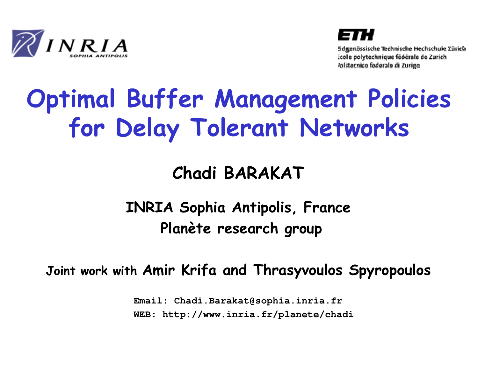



Eidgenössische Technische Hochschule Zürich Ecole polytechnique fédérale de Zurich Politecnico federale di Zurigo

### Optimal Buffer Management Policies for Delay Tolerant Networks

### Chadi BARAKAT

INRIA Sophia Antipolis, FrancePlanète research group

Joint work with Amir Krifa and Thrasyvoulos Spyropoulos

**Email: Chadi.Barakat@sophia.inria.frWEB: http://www.inria.fr/planete/chadi**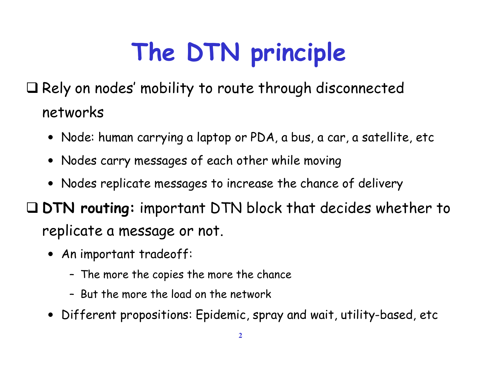# The DTN principle

 $\square$  Rely on nodes' mobility to route through disconnected networks

- Node: human carrying a laptop or PDA, a bus, a car, a satellite, etc
- Nodes carry messages of each other while moving
- Nodes replicate messages to increase the chance of delivery

 DTN routing: important DTN block that decides whether to replicate a message or not.

- An important tradeoff:
	- The more the copies the more the chance
	- But the more the load on the network
- Different propositions: Epidemic, spray and wait, utility-based, etc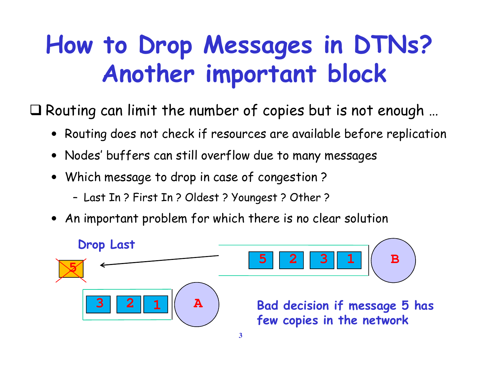### How to Drop Messages in DTNs?Another important block

 $\square$  Routing can limit the number of copies but is not enough  $\dots$ 

- Routing does not check if resources are available before replication
- Nodes' buffers can still overflow due to many messages
- Which message to drop in case of congestion ?
	- Last In ? First In ? Oldest ? Youngest ? Other ?
- An important problem for which there is no clear solution

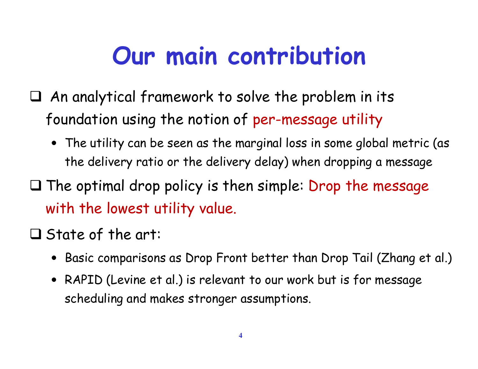### Our main contribution

- $\Box$  An analytical framework to solve the problem in its foundation using the notion of per-message utility
	- The utility can be seen as the marginal loss in some global metric (as the delivery ratio or the delivery delay) when dropping a message
- $\square$  The optimal drop policy is then simple: Drop the message with the lowest utility value.
- $\square$  State of the art:
	- Basic comparisons as Drop Front better than Drop Tail (Zhang et al.)
	- RAPID (Levine et al.) is relevant to our work but is for message scheduling and makes stronger assumptions.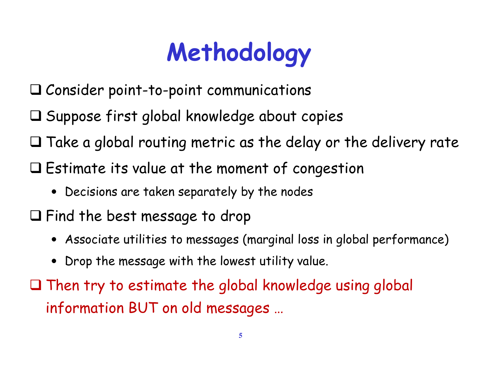# Methodology

- $\square$  Consider point-to-point communications
- $\square$  Suppose first global knowledge about copies
- $\square$  Take a global routing metric as the delay or the delivery rate
- $\square$  Estimate its value at the moment of congestion
	- Decisions are taken separately by the nodes
- $\square$  Find the best message to drop
	- Associate utilities to messages (marginal loss in global performance)
	- Drop the message with the lowest utility value.
- $\square$  Then try to estimate the global knowledge using global information BUT on old messages …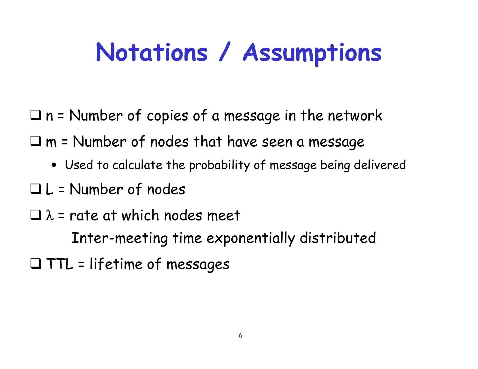### Notations / Assumptions

- $\Box$  n = Number of copies of a message in the network
- $\square$  m = Number of nodes that have seen a message
	- Used to calculate the probability of message being delivered
- $\Box$  L = Number of nodes
- $\square$   $\lambda$  = rate at which nodes meet
	- Inter-meeting time exponentially distributed
- $\Box$  TTL = lifetime of messages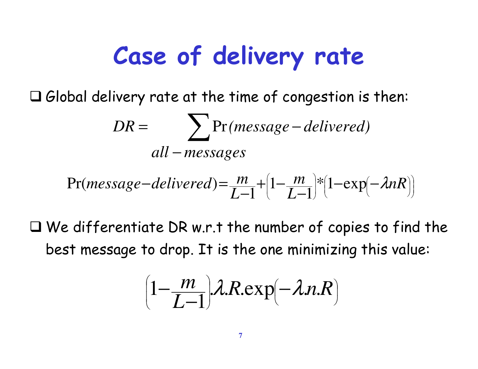### Case of delivery rate

 $\square$  Global delivery rate at the time of congestion is then:

$$
DR = \sum_{all - messages} Pr(message - delivered)
$$

$$
Pr(message-delivered) = \frac{m}{L-1} + \left(1 - \frac{m}{L-1}\right) * \left(1 - \exp\left(-\lambda nR\right)\right)
$$

 $\square$  We differentiate DR w.r.t the number of copies to find the best message to drop. It is the one minimizing this value:

$$
\left(1-\frac{m}{L-1}\right)\lambda R.\exp(-\lambda n.R)
$$

l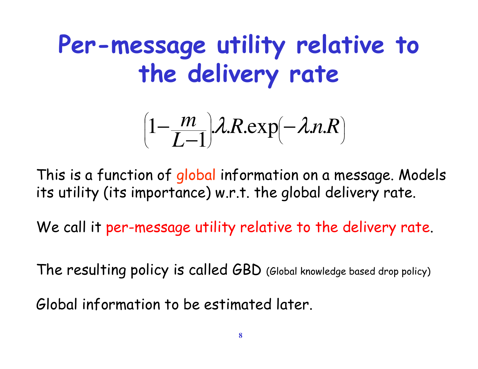### Per-message utility relative to the delivery rate

$$
\left(1-\frac{m}{L-1}\right)\lambda R.\exp(-\lambda n.R)
$$

This is a function of global information on a message. Models its utility (its importance) w.r.t. the global delivery rate.

We call it per-message utility relative to the delivery rate.

The resulting policy is called GBD (Global knowledge based drop policy)

Global information to be estimated later.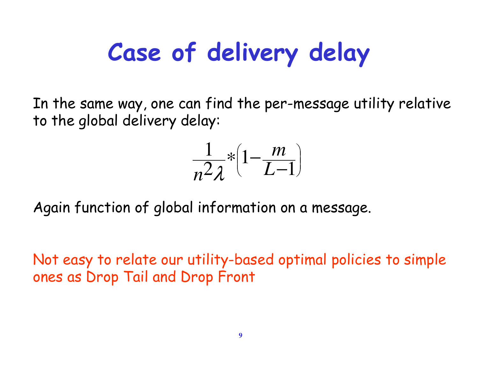# Case of delivery delay

In the same way, one can find the per-message utility relative to the global delivery delay:

$$
\frac{1}{n^2\lambda} * \left(1 - \frac{m}{L-1}\right)
$$

Again function of global information on a message.

Not easy to relate our utility-based optimal policies to simple ones as Drop Tail and Drop Front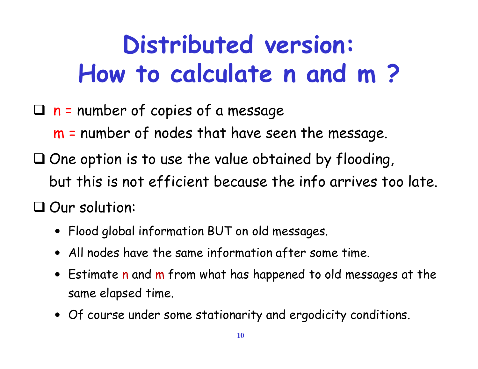### Distributed version:How to calculate n and m ?

 $\Box$  n = number of copies of a message

<sup>m</sup> <sup>=</sup> number of nodes that have seen the message.

- $\square$  One option is to use the value obtained by flooding, but this is not efficient because the info arrives too late.
- $\square$  Our solution:
	- Flood global information BUT on old messages.
	- All nodes have the same information after some time.
	- Estimate n and m from what has happened to old messages at the same elapsed time.
	- Of course under some stationarity and ergodicity conditions.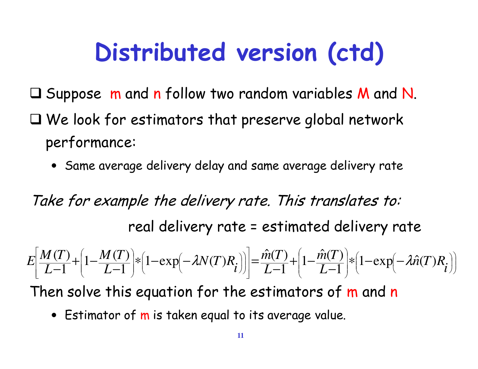# Distributed version (ctd)

- $\square$  Suppose  $\:$  m and n follow two random variables M and N.  $\square$  We look for estimators that preserve global network performance:
	- Same average delivery delay and same average delivery rate

Take for example the delivery rate. This translates to:real delivery rate = estimated delivery rate

J  $\bigg)$  $\setminus$  $\bigg($ l  $\int$  $\bigg)$ l  $\setminus$  $\bigg($ l l  $\bigg)$  $\bigg)$ l ļ l l  $\setminus$  $\bigg($ I l  $\overline{\phantom{a}}$  $\lceil$ L  $\sqrt{\phantom{a}}$ J  $\bigg)$  $\setminus$  $\bigg($ l  $\int$  $\bigg)$ ֖֖֖֖֖֖ׅׅ֪֪֪֪֦֖֚֚֚֚֚֚֚֚֚֚֚֚֚֚֚֚֬֝֝֝֬֝֬֝֬֝֬֝֬֝֓  $\setminus$  $\bigg($ I I  $\int$  $\bigg)$ ľ ֖֖֖֪ׅ֪֪ׅ֪ׅ֪֪֪֪ׅ֚֚֚֚֚֚֚֚֚֚֚֚֚֬֝֝֝֝֝֝֬֝֬֝֝֬֝֬֝  $\setminus$  $\left(1 - \frac{M(T)}{N(T)}\right) * \left(1 - \exp(-\lambda N(T)R)\right)\right| = \hat{m}(T) + \left(1 - \hat{m}(T)\right) *$ −−1 | \ +−−1 + ∗= −+ $\overline{-1}$ <sup>-</sup> $\left| \begin{matrix} 1 & \overline{L-1} \end{matrix} \right|$   $\left| \begin{matrix} 1 & \cos(\mu) & \cos(\mu) \\ \cos(\mu) & \cos(\mu) & \cos(\mu) \end{matrix} \right|$ *nTR* $L-1$  |  $\left($   $\frac{1}{L}$   $\frac{1}{L}$   $\frac{1}{L}$   $\frac{1}{L}$   $\frac{1}{L}$ *mTL*-1 | *L mT* $i$  )]  $\boxed{L}$ *NTR* $L-1$  |  $\left($   $\frac{1}{2}$   $\frac{1}{2}$   $\frac{1}{2}$   $\frac{1}{2}$   $\frac{1}{2}$   $\frac{1}{2}$   $\frac{1}{2}$ *MTL*-1 | *L*-*MT* $E\left| \frac{M}{I}\right|$  $1 - \exp(-\lambda \hat{n})$  $\frac{1}{1}$  \*  $\left(1-\exp(-\lambda \hat{n}(T))\right)$ ˆ $1-\frac{\hat{m}(T)}{T}$  $1$   $\vert$ ˆ $\left|\frac{f}{1}\right| * \left(1 - \exp\left(-\lambda N(T)R_i\right)\right) = \frac{\hat{m}(T)}{L-1}$  $1-\frac{M(T)}{T}$ 1 |  $\frac{(T)}{T} + \left(1 - \frac{M(T)}{T}\right) * \left(1 - \exp(-\lambda)\right)$  $\lambda i$ 

Then solve this equation for the estimators of <mark>m</mark> and <mark>n</mark>

• Estimator of m is taken equal to its average value.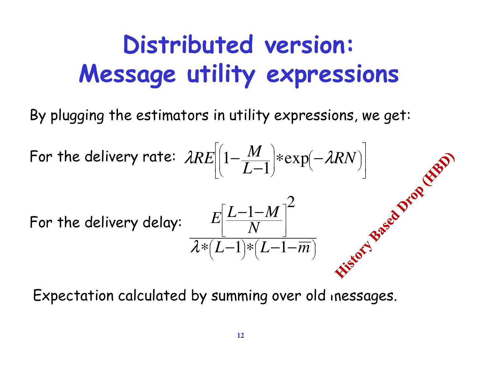### Distributed version:Message utility expressions

By plugging the estimators in utility expressions, we get:

For the delivery rate: 
$$
\lambda RE\left[\left(1-\frac{M}{L-1}\right)*\exp(-\lambda RN)\right]
$$
  
For the delivery delay: 
$$
\frac{E\left[\frac{L-1-M}{N}\right]^2}{\lambda*(L-1)*(L-1-\overline{m})}
$$

Expectation calculated by summing over old inessages.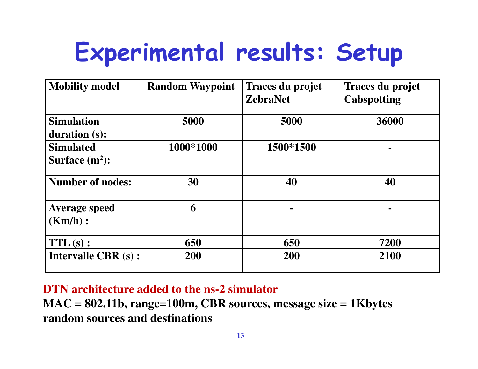### Experimental results: Setup

| <b>Mobility model</b>                 | <b>Random Waypoint</b> | Traces du projet<br><b>ZebraNet</b> | Traces du projet<br><b>Cabspotting</b> |
|---------------------------------------|------------------------|-------------------------------------|----------------------------------------|
| <b>Simulation</b><br>duration (s):    | 5000                   | 5000                                | 36000                                  |
| <b>Simulated</b><br>Surface $(m^2)$ : | 1000*1000              | 1500*1500                           |                                        |
| <b>Number of nodes:</b>               | 30                     | 40                                  | 40                                     |
| <b>Average speed</b><br>(Km/h):       | 6                      |                                     |                                        |
| $TTL(s)$ :                            | 650                    | 650                                 | 7200                                   |
| <b>Intervalle CBR (s):</b>            | 200                    | 200                                 | 2100                                   |

**DTN architecture added to the ns-2 simulator**

 **MAC = 802.11b, range=100m, CBR sources, message size = 1Kbytesrandom sources and destinations**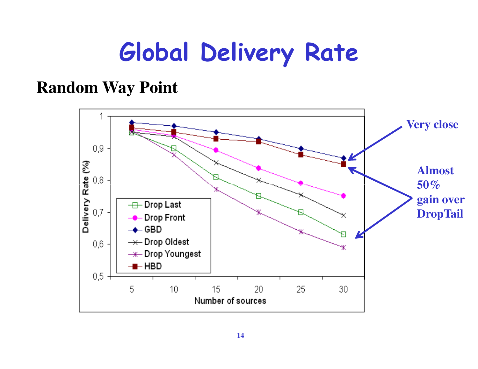### Global Delivery Rate

### **Random Way Point**

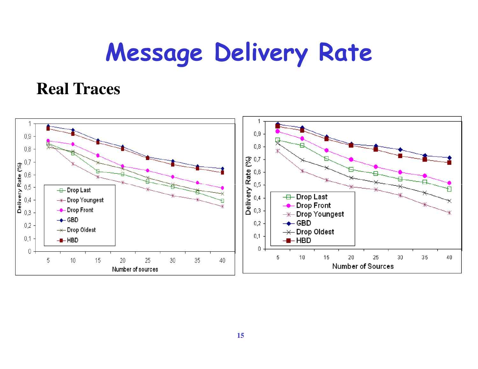### Message Delivery Rate

### **Real Traces**

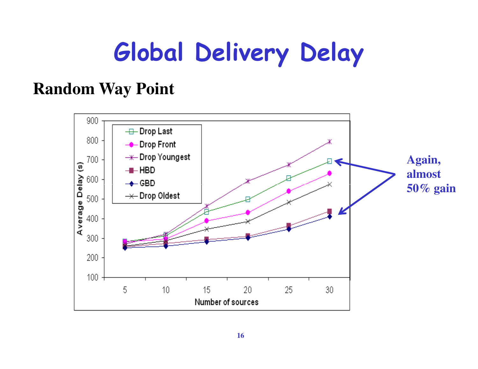### Global Delivery Delay

### **Random Way Point**

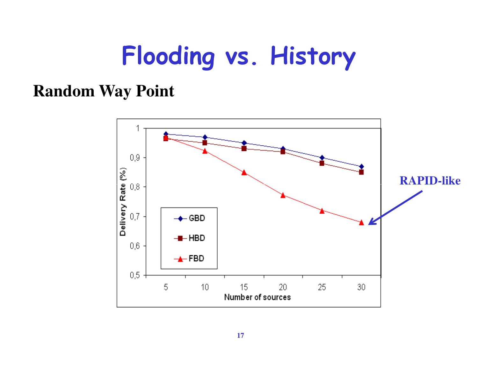### Flooding vs. History

### **Random Way Point**

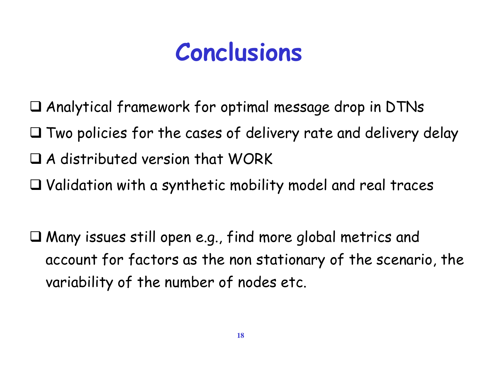### Conclusions

- $\square$  Analytical framework for optimal message drop in DTNs
- $\square$  Two policies for the cases of delivery rate and delivery delay
- $\square$  A distributed version that WORK
- $\square$  Validation with a synthetic mobility model and real traces
- $\square$  Many issues still open e.g., find more global metrics and account for factors as the non stationary of the scenario, the variability of the number of nodes etc.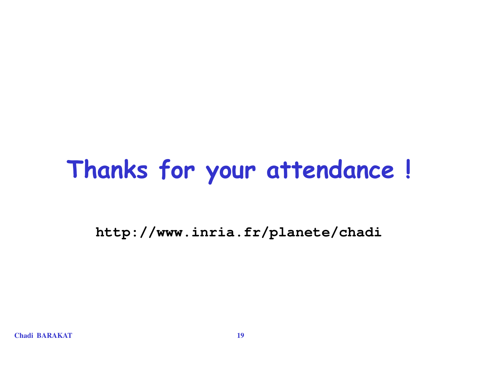### Thanks for your attendance !

**http://www.inria.fr/planete/chadi**

**Chadi BARAKAT**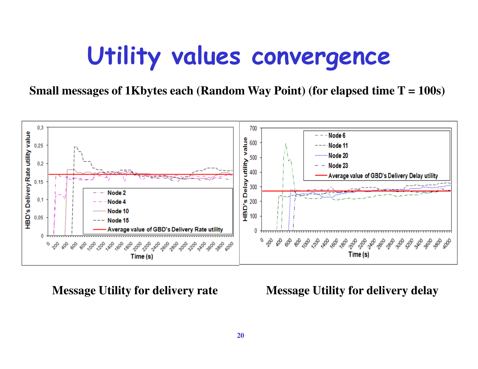### Utility values convergence

**Small messages of 1Kbytes each (Random Way Point) (for elapsed time T = 100s)**



**Message Utility for delivery rate Message Utility for delivery delay**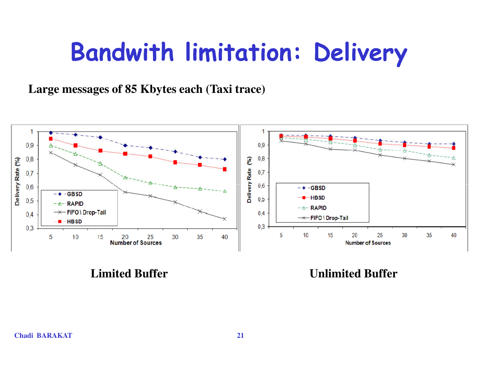### Bandwith limitation: Delivery

**Large messages of 85 Kbytes each (Taxi trace)**



**Limited Buffer Construction Construction Construction Construction Construction Construction Construction Construction Construction Construction Construction Construction Construction Construction Construction Constructio**